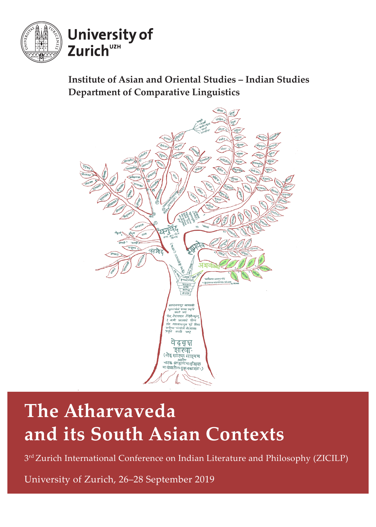

### **Institute of Asian and Oriental Studies – Indian Studies Department of Comparative Linguistics**



# **The Atharvaveda and its South Asian Contexts**

3<sup>rd</sup> Zurich International Conference on Indian Literature and Philosophy (ZICILP)

University of Zurich, 26‒28 September 2019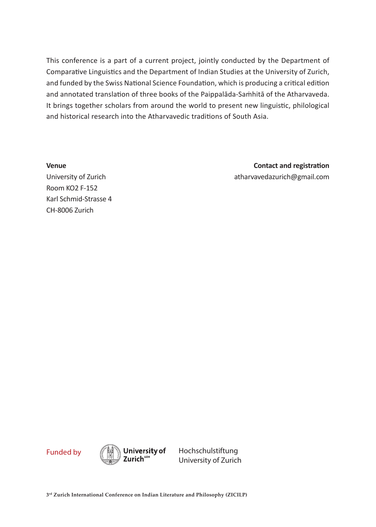This conference is a part of a current project, jointly conducted by the Department of Comparative Linguistics and the Department of Indian Studies at the University of Zurich, and funded by the Swiss National Science Foundation, which is producing a critical edition and annotated translation of three books of the Paippalāda-Saṁhitā of the Atharvaveda. It brings together scholars from around the world to present new linguistic, philological and historical research into the Atharvavedic traditions of South Asia.

**Venue**

**Contact and registration** atharvavedazurich@gmail.com

University of Zurich Room KO2 F-152 Karl Schmid-Strasse 4 CH-8006 Zurich



University of Zurich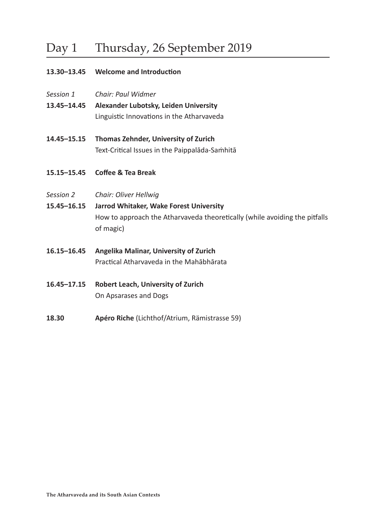## Day 1 Thursday, 26 September 2019

#### **13.30–13.45 Welcome and Introduction**

- *Session 1 Chair: Paul Widmer*
- **13.45–14.45 Alexander Lubotsky, Leiden University** Linguistic Innovations in the Atharvaveda
- **14.45–15.15 Thomas Zehnder, University of Zurich** Text-Critical Issues in the Paippalāda-Saṁhitā
- **15.15–15.45 Coffee & Tea Break**
- *Session 2 Chair: Oliver Hellwig*
- **15.45–16.15 Jarrod Whitaker, Wake Forest University** How to approach the Atharvaveda theoretically (while avoiding the pitfalls of magic)
- **16.15–16.45 Angelika Malinar, University of Zurich** Practical Atharvaveda in the Mahābhārata
- **16.45–17.15 Robert Leach, University of Zurich** On Apsarases and Dogs
- **18.30 Apéro Riche** (Lichthof/Atrium, Rämistrasse 59)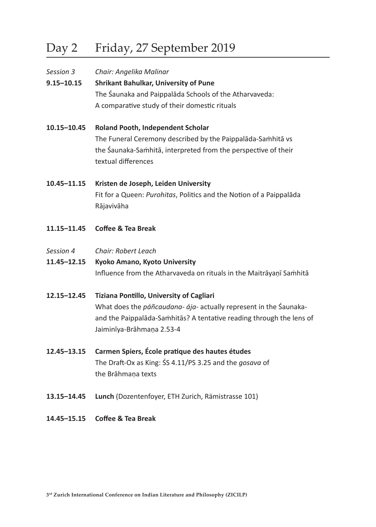## Day 2 Friday, 27 September 2019

| Session 3      | Chair: Angelika Malinar                                |
|----------------|--------------------------------------------------------|
| $9.15 - 10.15$ | <b>Shrikant Bahulkar, University of Pune</b>           |
|                | The Saunaka and Paippalada Schools of the Atharvaveda: |
|                | A comparative study of their domestic rituals          |
|                |                                                        |

- **10.15–10.45 Roland Pooth, Independent Scholar** The Funeral Ceremony described by the Paippalāda-Saṁhitā vs the Śaunaka-Saṁhitā, interpreted from the perspective of their textual differences
- **10.45–11.15 Kristen de Joseph, Leiden University** Fit for a Queen: *Purohitas*, Politics and the Notion of a Paippalāda Rājavivāha
- **11.15–11.45 Coffee & Tea Break**
- *Session 4 Chair: Robert Leach*
- **11.45–12.15 Kyoko Amano, Kyoto University**  Influence from the Atharvaveda on rituals in the Maitrāyaṇī Saṁhitā
- **12.15–12.45 Tiziana Pontillo, University of Cagliari** What does the *páñcaudana- ája-* actually represent in the Śaunakaand the Paippalāda-Saṁhitās? A tentative reading through the lens of Jaiminīya-Brāhmaṇa 2.53-4
- **12.45–13.15 Carmen Spiers, École pratique des hautes études** The Draft-Ox as King: ŚS 4.11/PS 3.25 and the *gosava* of the Brāhmaṇa texts
- **13.15–14.45 Lunch** (Dozentenfoyer, ETH Zurich, Rämistrasse 101)
- **14.45–15.15 Coffee & Tea Break**